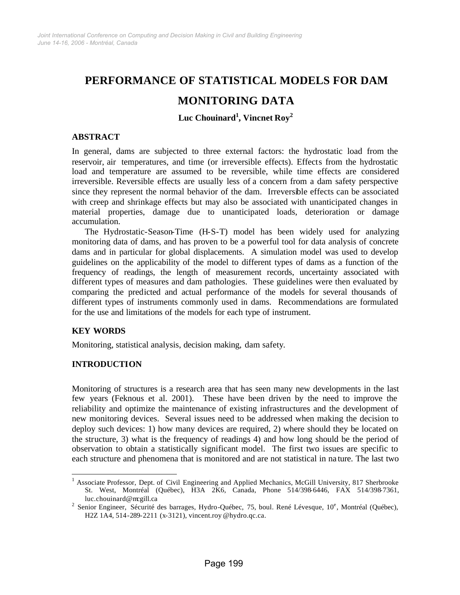# **PERFORMANCE OF STATISTICAL MODELS FOR DAM**

# **MONITORING DATA**

**Luc Chouinard1 , Vincnet Roy<sup>2</sup>**

#### **ABSTRACT**

In general, dams are subjected to three external factors: the hydrostatic load from the reservoir, air temperatures, and time (or irreversible effects). Effects from the hydrostatic load and temperature are assumed to be reversible, while time effects are considered irreversible. Reversible effects are usually less of a concern from a dam safety perspective since they represent the normal behavior of the dam. Irreversible effects can be associated with creep and shrinkage effects but may also be associated with unanticipated changes in material properties, damage due to unanticipated loads, deterioration or damage accumulation.

The Hydrostatic-Season-Time (H-S-T) model has been widely used for analyzing monitoring data of dams, and has proven to be a powerful tool for data analysis of concrete dams and in particular for global displacements. A simulation model was used to develop guidelines on the applicability of the model to different types of dams as a function of the frequency of readings, the length of measurement records, uncertainty associated with different types of measures and dam pathologies. These guidelines were then evaluated by comparing the predicted and actual performance of the models for several thousands of different types of instruments commonly used in dams. Recommendations are formulated for the use and limitations of the models for each type of instrument.

## **KEY WORDS**

l

Monitoring, statistical analysis, decision making, dam safety.

## **INTRODUCTION**

Monitoring of structures is a research area that has seen many new developments in the last few years (Feknous et al. 2001). These have been driven by the need to improve the reliability and optimize the maintenance of existing infrastructures and the development of new monitoring devices. Several issues need to be addressed when making the decision to deploy such devices: 1) how many devices are required, 2) where should they be located on the structure, 3) what is the frequency of readings 4) and how long should be the period of observation to obtain a statistically significant model. The first two issues are specific to each structure and phenomena that is monitored and are not statistical in na ture. The last two

<sup>&</sup>lt;sup>1</sup> Associate Professor, Dept. of Civil Engineering and Applied Mechanics, McGill University, 817 Sherbrooke St. West, Montréal (Québec), H3A 2K6, Canada, Phone 514/398-6446, FAX 514/398-7361,

luc.chouinard@mcgill.ca<br><sup>2</sup> Senior Engineer, Sécurité des barrages, Hydro-Québec, 75, boul. René Lévesque, 10<sup>e</sup>, Montréal (Québec), H2Z 1A4, 514-289-2211 (x-3121), vincent.roy @hydro.qc.ca.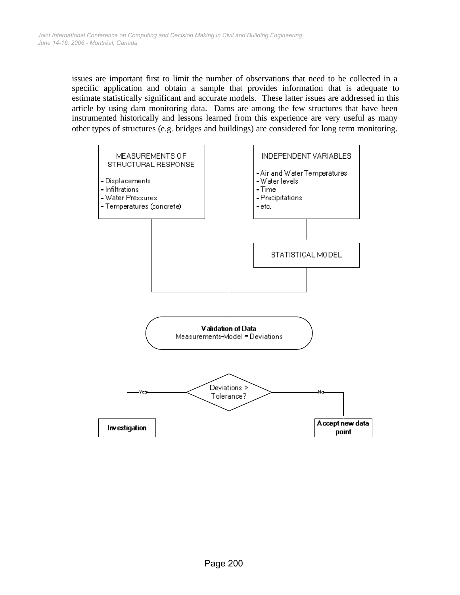issues are important first to limit the number of observations that need to be collected in a specific application and obtain a sample that provides information that is adequate to estimate statistically significant and accurate models. These latter issues are addressed in this article by using dam monitoring data. Dams are among the few structures that have been instrumented historically and lessons learned from this experience are very useful as many other types of structures (e.g. bridges and buildings) are considered for long term monitoring.

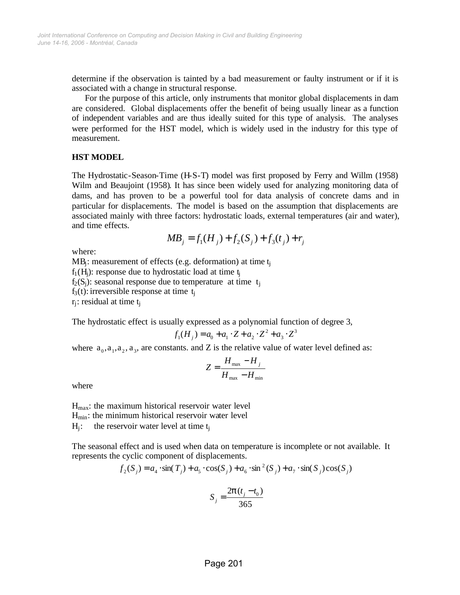determine if the observation is tainted by a bad measurement or faulty instrument or if it is associated with a change in structural response.

For the purpose of this article, only instruments that monitor global displacements in dam are considered. Global displacements offer the benefit of being usually linear as a function of independent variables and are thus ideally suited for this type of analysis. The analyses were performed for the HST model, which is widely used in the industry for this type of measurement.

#### **HST MODEL**

The Hydrostatic-Season-Time (H-S-T) model was first proposed by Ferry and Willm (1958) Wilm and Beaujoint (1958). It has since been widely used for analyzing monitoring data of dams, and has proven to be a powerful tool for data analysis of concrete dams and in particular for displacements. The model is based on the assumption that displacements are associated mainly with three factors: hydrostatic loads, external temperatures (air and water), and time effects.

$$
MB_j = f_1(H_j) + f_2(S_j) + f_3(t_j) + r_j
$$

where:

 $MB_i$ : measurement of effects (e.g. deformation) at time  $t_i$  $f_1(H_i)$ : response due to hydrostatic load at time  $t_i$  $f_2(S_i)$ : seasonal response due to temperature at time t<sub>i</sub>

 $f_3(t)$ : irreversible response at time  $t_i$ 

 $r_i$ : residual at time  $t_i$ 

The hydrostatic effect is usually expressed as a polynomial function of degree 3,

$$
f_1(H_j) = a_0 + a_1 \cdot Z + a_2 \cdot Z^2 + a_3 \cdot Z^3
$$

where  $a_0, a_1, a_2, a_3$ , are constants. and Z is the relative value of water level defined as:

$$
Z = \frac{H_{\text{max}} - H_j}{H_{\text{max}} - H_{\text{min}}}
$$

where

Hmax: the maximum historical reservoir water level  $H_{min}$ : the minimum historical reservoir water level  $H_i$ : the reservoir water level at time  $t_i$ 

The seasonal effect and is used when data on temperature is incomplete or not available. It represents the cyclic component of displacements.

$$
f_2(S_j) = a_4 \cdot \sin(T_j) + a_5 \cdot \cos(S_j) + a_6 \cdot \sin^2(S_j) + a_7 \cdot \sin(S_j) \cos(S_j)
$$

$$
S_j = \frac{2\boldsymbol{p}(t_j - t_0)}{365}
$$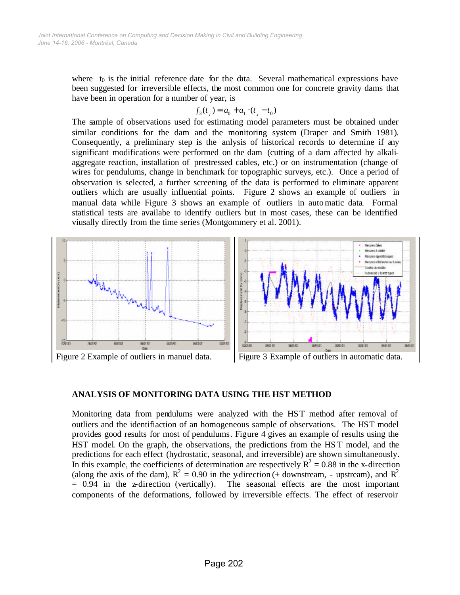where  $t_0$  is the initial reference date for the data. Several mathematical expressions have been suggested for irreversible effects, the most common one for concrete gravity dams that have been in operation for a number of year, is

$$
f_3(t_j) = a_0 + a_1 \cdot (t_j - t_0)
$$

The sample of observations used for estimating model parameters must be obtained under similar conditions for the dam and the monitoring system (Draper and Smith 1981). Consequently, a preliminary step is the anlysis of historical records to determine if any significant modifications were performed on the dam (cutting of a dam affected by alkaliaggregate reaction, installation of prestressed cables, etc.) or on instrumentation (change of wires for pendulums, change in benchmark for topographic surveys, etc.). Once a period of observation is selected, a further screening of the data is performed to eliminate apparent outliers which are usually influential points. Figure 2 shows an example of outliers in manual data while Figure 3 shows an example of outliers in automatic data. Formal statistical tests are availabe to identify outliers but in most cases, these can be identified viusally directly from the time series (Montgommery et al. 2001).



#### **ANALYSIS OF MONITORING DATA USING THE HST METHOD**

Monitoring data from pendulums were analyzed with the HST method after removal of outliers and the identifiaction of an homogeneous sample of observations. The HST model provides good results for most of pendulums. Figure 4 gives an example of results using the HST model. On the graph, the observations, the predictions from the HS T model, and the predictions for each effect (hydrostatic, seasonal, and irreversible) are shown simultaneously. In this example, the coefficients of determination are respectively  $R^2 = 0.88$  in the x-direction (along the axis of the dam),  $R^2 = 0.90$  in the y-direction (+ downstream, - upstream), and  $R^2$ = 0.94 in the z-direction (vertically). The seasonal effects are the most important components of the deformations, followed by irreversible effects. The effect of reservoir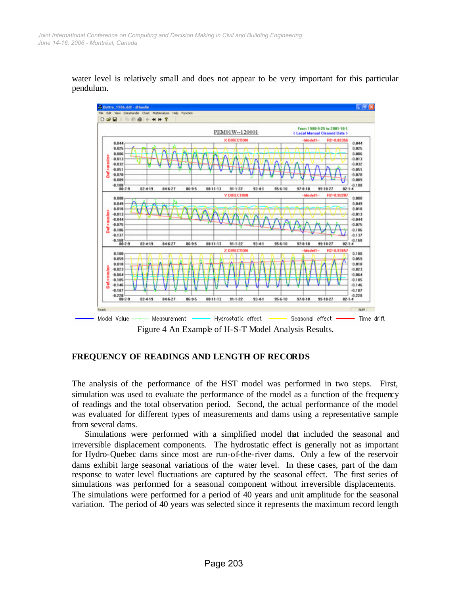

water level is relatively small and does not appear to be very important for this particular pendulum.

Figure 4 An Example of H-S-T Model Analysis Results.

#### **FREQUENCY OF READINGS AND LENGTH OF RECORDS**

The analysis of the performance of the HST model was performed in two steps. First, simulation was used to evaluate the performance of the model as a function of the frequency of readings and the total observation period. Second, the actual performance of the model was evaluated for different types of measurements and dams using a representative sample from several dams.

Simulations were performed with a simplified model that included the seasonal and irreversible displacement components. The hydrostatic effect is generally not as important for Hydro-Quebec dams since most are run-of-the-river dams. Only a few of the reservoir dams exhibit large seasonal variations of the water level. In these cases, part of the dam response to water level fluctuations are captured by the seasonal effect. The first series of simulations was performed for a seasonal component without irreversible displacements. The simulations were performed for a period of 40 years and unit amplitude for the seasonal variation. The period of 40 years was selected since it represents the maximum record length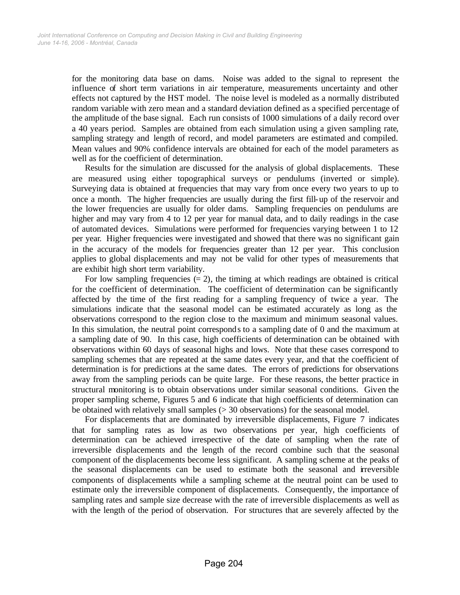for the monitoring data base on dams. Noise was added to the signal to represent the influence of short term variations in air temperature, measurements uncertainty and other effects not captured by the HST model. The noise level is modeled as a normally distributed random variable with zero mean and a standard deviation defined as a specified percentage of the amplitude of the base signal. Each run consists of 1000 simulations of a daily record over a 40 years period. Samples are obtained from each simulation using a given sampling rate, sampling strategy and length of record, and model parameters are estimated and compiled. Mean values and 90% confidence intervals are obtained for each of the model parameters as well as for the coefficient of determination.

Results for the simulation are discussed for the analysis of global displacements. These are measured using either topographical surveys or pendulums (inverted or simple). Surveying data is obtained at frequencies that may vary from once every two years to up to once a month. The higher frequencies are usually during the first fill-up of the reservoir and the lower frequencies are usually for older dams. Sampling frequencies on pendulums are higher and may vary from 4 to 12 per year for manual data, and to daily readings in the case of automated devices. Simulations were performed for frequencies varying between 1 to 12 per year. Higher frequencies were investigated and showed that there was no significant gain in the accuracy of the models for frequencies greater than 12 per year. This conclusion applies to global displacements and may not be valid for other types of measurements that are exhibit high short term variability.

For low sampling frequencies  $(= 2)$ , the timing at which readings are obtained is critical for the coefficient of determination. The coefficient of determination can be significantly affected by the time of the first reading for a sampling frequency of twice a year. The simulations indicate that the seasonal model can be estimated accurately as long as the observations correspond to the region close to the maximum and minimum seasonal values. In this simulation, the neutral point corresponds to a sampling date of 0 and the maximum at a sampling date of 90. In this case, high coefficients of determination can be obtained with observations within 60 days of seasonal highs and lows. Note that these cases correspond to sampling schemes that are repeated at the same dates every year, and that the coefficient of determination is for predictions at the same dates. The errors of predictions for observations away from the sampling periods can be quite large. For these reasons, the better practice in structural monitoring is to obtain observations under similar seasonal conditions. Given the proper sampling scheme, Figures 5 and 6 indicate that high coefficients of determination can be obtained with relatively small samples (> 30 observations) for the seasonal model.

For displacements that are dominated by irreversible displacements, Figure 7 indicates that for sampling rates as low as two observations per year, high coefficients of determination can be achieved irrespective of the date of sampling when the rate of irreversible displacements and the length of the record combine such that the seasonal component of the displacements become less significant. A sampling scheme at the peaks of the seasonal displacements can be used to estimate both the seasonal and irreversible components of displacements while a sampling scheme at the neutral point can be used to estimate only the irreversible component of displacements. Consequently, the importance of sampling rates and sample size decrease with the rate of irreversible displacements as well as with the length of the period of observation. For structures that are severely affected by the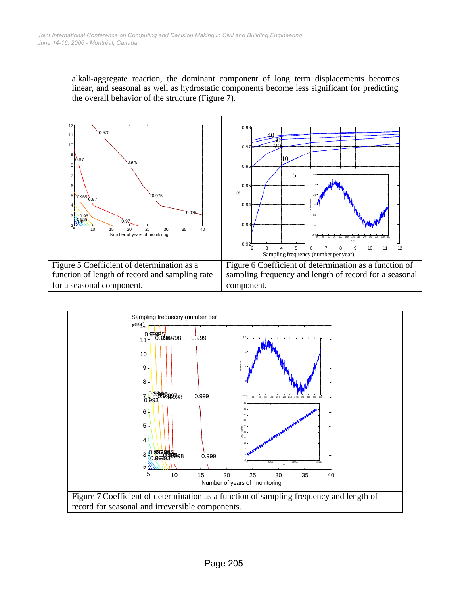alkali-aggregate reaction, the dominant component of long term displacements becomes linear, and seasonal as well as hydrostatic components become less significant for predicting the overall behavior of the structure (Figure 7).



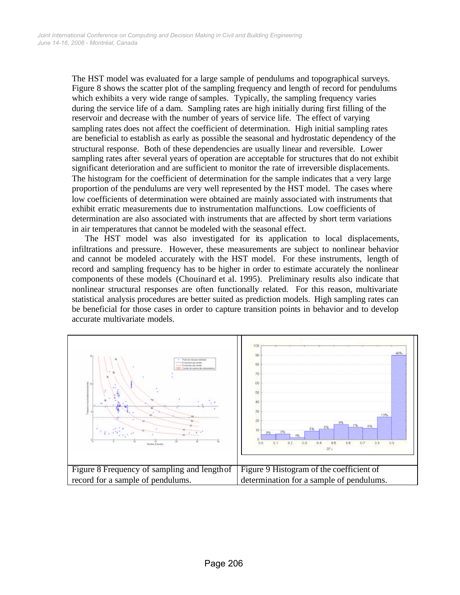The HST model was evaluated for a large sample of pendulums and topographical surveys. Figure 8 shows the scatter plot of the sampling frequency and length of record for pendulums which exhibits a very wide range of samples. Typically, the sampling frequency varies during the service life of a dam. Sampling rates are high initially during first filling of the reservoir and decrease with the number of years of service life. The effect of varying sampling rates does not affect the coefficient of determination. High initial sampling rates are beneficial to establish as early as possible the seasonal and hydrostatic dependency of the structural response. Both of these dependencies are usually linear and reversible. Lower sampling rates after several years of operation are acceptable for structures that do not exhibit significant deterioration and are sufficient to monitor the rate of irreversible displacements. The histogram for the coefficient of determination for the sample indicates that a very large proportion of the pendulums are very well represented by the HST model. The cases where low coefficients of determination were obtained are mainly associated with instruments that exhibit erratic measurements due to instrumentation malfunctions. Low coefficients of determination are also associated with instruments that are affected by short term variations in air temperatures that cannot be modeled with the seasonal effect.

The HST model was also investigated for its application to local displacements, infiltrations and pressure. However, these measurements are subject to nonlinear behavior and cannot be modeled accurately with the HST model. For these instruments, length of record and sampling frequency has to be higher in order to estimate accurately the nonlinear components of these models (Chouinard et al. 1995). Preliminary results also indicate that nonlinear structural responses are often functionally related. For this reason, multivariate statistical analysis procedures are better suited as prediction models. High sampling rates can be beneficial for those cases in order to capture transition points in behavior and to develop accurate multivariate models.